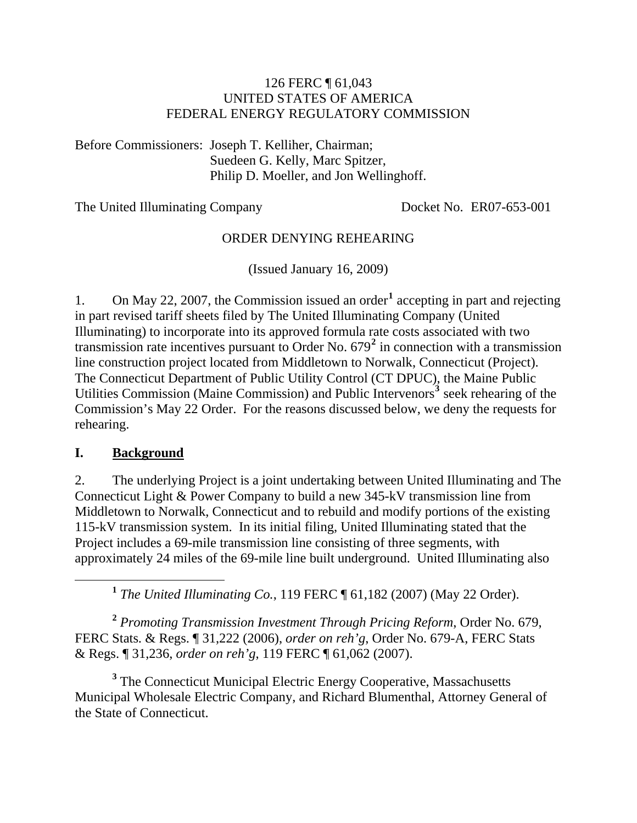#### 126 FERC ¶ 61,043 UNITED STATES OF AMERICA FEDERAL ENERGY REGULATORY COMMISSION

Before Commissioners: Joseph T. Kelliher, Chairman; Suedeen G. Kelly, Marc Spitzer, Philip D. Moeller, and Jon Wellinghoff.

The United Illuminating Company Docket No. ER07-653-001

#### ORDER DENYING REHEARING

(Issued January 16, 2009)

[1](#page-0-0). On May 22, 2007, the Commission issued an order<sup>1</sup> accepting in part and rejecting in part revised tariff sheets filed by The United Illuminating Company (United Illuminating) to incorporate into its approved formula rate costs associated with two transmission rate incentives pursuant to Order No. 679**[2](#page-0-1)** in connection with a transmission line construction project located from Middletown to Norwalk, Connecticut (Project). The Connecticut Department of Public Utility Control (CT DPUC), the Maine Public Utilities Commission (Maine Commission) and Public Intervenors<sup>[3](#page-0-2)</sup> seek rehearing of the Commission's May 22 Order. For the reasons discussed below, we deny the requests for rehearing.

#### **I. Background**

2. The underlying Project is a joint undertaking between United Illuminating and The Connecticut Light & Power Company to build a new 345-kV transmission line from Middletown to Norwalk, Connecticut and to rebuild and modify portions of the existing 115-kV transmission system. In its initial filing, United Illuminating stated that the Project includes a 69-mile transmission line consisting of three segments, with approximately 24 miles of the 69-mile line built underground. United Illuminating also

**<sup>1</sup>** *The United Illuminating Co.*, 119 FERC ¶ 61,182 (2007) (May 22 Order).

<span id="page-0-1"></span><span id="page-0-0"></span>**<sup>2</sup>** *Promoting Transmission Investment Through Pricing Reform*, Order No. 679, FERC Stats. & Regs. ¶ 31,222 (2006), *order on reh'g*, Order No. 679-A, FERC Stats & Regs. ¶ 31,236, *order on reh'g*, 119 FERC ¶ 61,062 (2007).

<span id="page-0-2"></span><sup>3</sup> The Connecticut Municipal Electric Energy Cooperative, Massachusetts Municipal Wholesale Electric Company, and Richard Blumenthal, Attorney General of the State of Connecticut.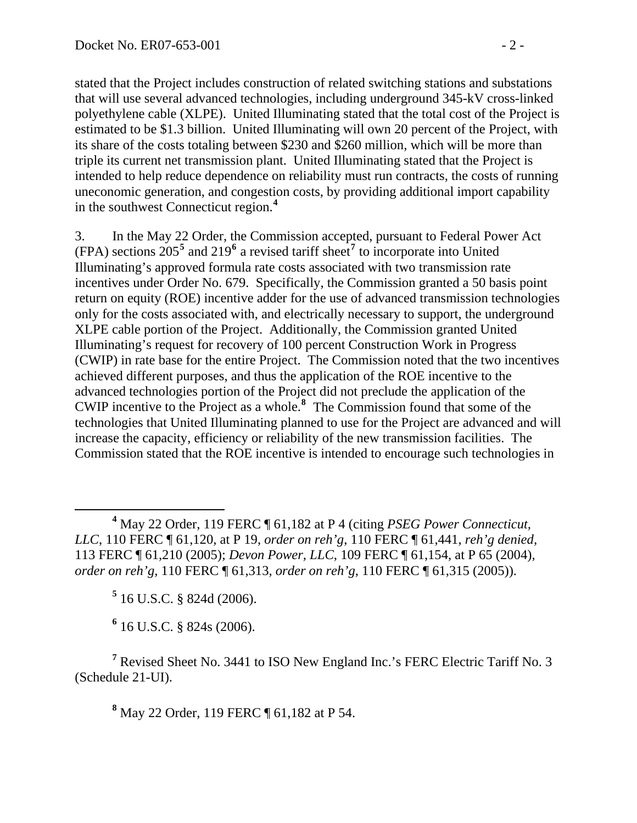stated that the Project includes construction of related switching stations and substations that will use several advanced technologies, including underground 345-kV cross-linked polyethylene cable (XLPE). United Illuminating stated that the total cost of the Project is estimated to be \$1.3 billion. United Illuminating will own 20 percent of the Project, with its share of the costs totaling between \$230 and \$260 million, which will be more than triple its current net transmission plant. United Illuminating stated that the Project is intended to help reduce dependence on reliability must run contracts, the costs of running uneconomic generation, and congestion costs, by providing additional import capability in the southwest Connecticut region.**<sup>4</sup>**

3. In the May 22 Order, the Commission accepted, pursuant to Federal Power Act  $(FPA)$  sections  $205^5$  $205^5$  $205^5$  and  $219^6$  $219^6$  a revised tariff sheet<sup>[7](#page-1-2)</sup> to incorporate into United Illuminating's approved formula rate costs associated with two transmission rate incentives under Order No. 679. Specifically, the Commission granted a 50 basis point return on equity (ROE) incentive adder for the use of advanced transmission technologies only for the costs associated with, and electrically necessary to support, the underground XLPE cable portion of the Project. Additionally, the Commission granted United Illuminating's request for recovery of 100 percent Construction Work in Progress (CWIP) in rate base for the entire Project. The Commission noted that the two incentives achieved different purposes, and thus the application of the ROE incentive to the advanced technologies portion of the Project did not preclude the application of the CWIP incentive to the Project as a whole.**[8](#page-1-3)** The Commission found that some of the technologies that United Illuminating planned to use for the Project are advanced and will increase the capacity, efficiency or reliability of the new transmission facilities. The Commission stated that the ROE incentive is intended to encourage such technologies in

**5** 16 U.S.C. § 824d (2006).

**6** 16 U.S.C. § 824s (2006).

<span id="page-1-3"></span><span id="page-1-2"></span><span id="page-1-1"></span><span id="page-1-0"></span><sup>7</sup> Revised Sheet No. 3441 to ISO New England Inc.'s FERC Electric Tariff No. 3 (Schedule 21-UI).

**8** May 22 Order, 119 FERC ¶ 61,182 at P 54.

**<sup>4</sup>** May 22 Order, 119 FERC ¶ 61,182 at P 4 (citing *PSEG Power Connecticut, LLC*, 110 FERC ¶ 61,120, at P 19, *order on reh'g*, 110 FERC ¶ 61,441, *reh'g denied,* 113 FERC ¶ 61,210 (2005); *Devon Power, LLC*, 109 FERC ¶ 61,154, at P 65 (2004), *order on reh'g,* 110 FERC ¶ 61,313, *order on reh'g*, 110 FERC ¶ 61,315 (2005)).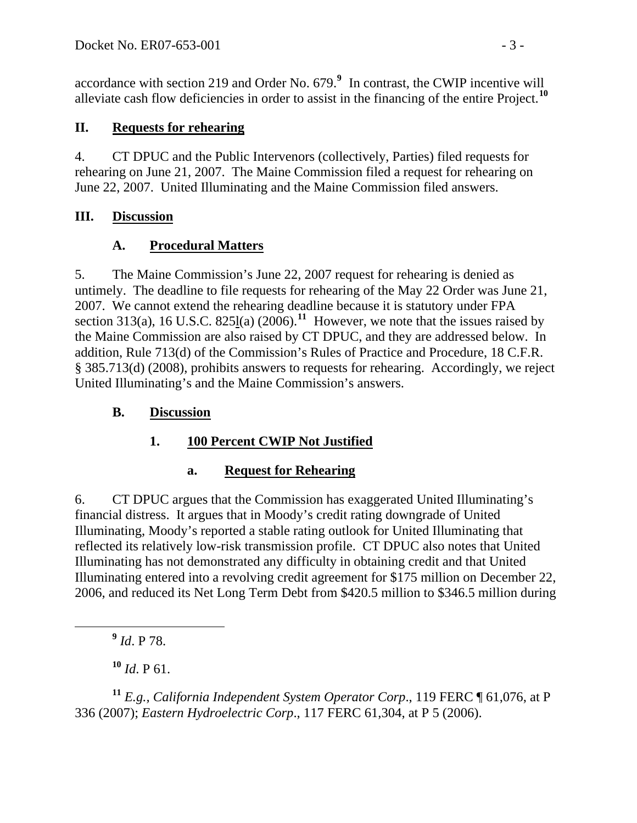accordance with section 219 and Order No. 679.**[9](#page-2-0)** In contrast, the CWIP incentive will alleviate cash flow deficiencies in order to assist in the financing of the entire Project.**[10](#page-2-1)**

### **II. Requests for rehearing**

4. CT DPUC and the Public Intervenors (collectively, Parties) filed requests for rehearing on June 21, 2007. The Maine Commission filed a request for rehearing on June 22, 2007. United Illuminating and the Maine Commission filed answers.

### **III. Discussion**

## **A. Procedural Matters**

5. The Maine Commission's June 22, 2007 request for rehearing is denied as untimely. The deadline to file requests for rehearing of the May 22 Order was June 21, 2007. We cannot extend the rehearing deadline because it is statutory under FPA section 313(a), 16 U.S.C. 825 $\frac{1}{2}$ (a) (2006).<sup>[11](#page-2-2)</sup> However, we note that the issues raised by the Maine Commission are also raised by CT DPUC, and they are addressed below. In addition, Rule 713(d) of the Commission's Rules of Practice and Procedure, 18 C.F.R. § 385.713(d) (2008), prohibits answers to requests for rehearing. Accordingly, we reject United Illuminating's and the Maine Commission's answers.

### **B. Discussion**

## **1. 100 Percent CWIP Not Justified**

## **a. Request for Rehearing**

6. CT DPUC argues that the Commission has exaggerated United Illuminating's financial distress. It argues that in Moody's credit rating downgrade of United Illuminating, Moody's reported a stable rating outlook for United Illuminating that reflected its relatively low-risk transmission profile. CT DPUC also notes that United Illuminating has not demonstrated any difficulty in obtaining credit and that United Illuminating entered into a revolving credit agreement for \$175 million on December 22, 2006, and reduced its Net Long Term Debt from \$420.5 million to \$346.5 million during

**<sup>9</sup>** *Id*. P 78.

 $10$  *Id.* P 61.

<span id="page-2-2"></span><span id="page-2-1"></span><span id="page-2-0"></span>**<sup>11</sup>** *E.g., California Independent System Operator Corp*., 119 FERC ¶ 61,076, at P 336 (2007); *Eastern Hydroelectric Corp*., 117 FERC 61,304, at P 5 (2006).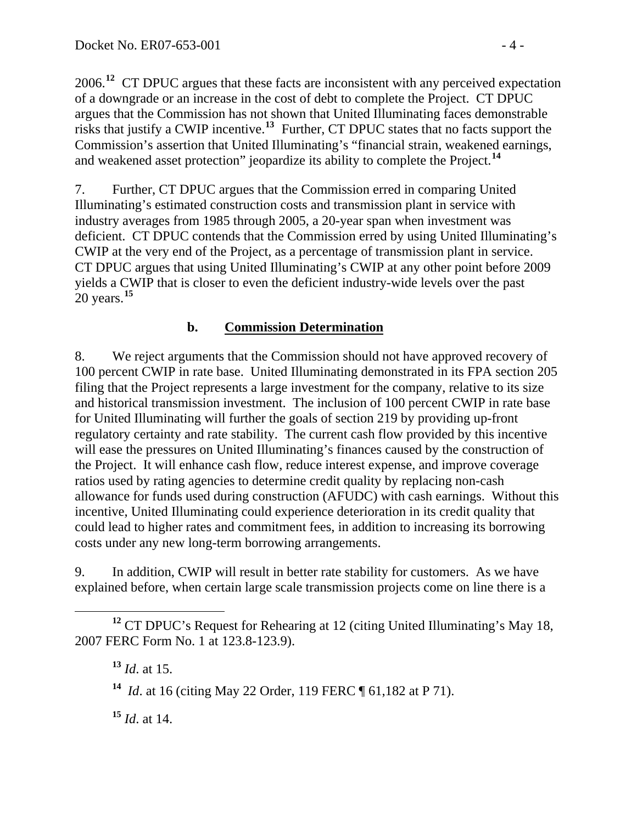2006.**<sup>12</sup>** CT DPUC argues that these facts are inconsistent with any perceived expectation of a downgrade or an increase in the cost of debt to complete the Project. CT DPUC argues that the Commission has not shown that United Illuminating faces demonstrable risks that justify a CWIP incentive.**<sup>13</sup>** Further, CT DPUC states that no facts support the Commission's assertion that United Illuminating's "financial strain, weakened earnings, and weakened asset protection" jeopardize its ability to complete the Project.**<sup>14</sup>**

7. Further, CT DPUC argues that the Commission erred in comparing United Illuminating's estimated construction costs and transmission plant in service with industry averages from 1985 through 2005, a 20-year span when investment was deficient. CT DPUC contends that the Commission erred by using United Illuminating's CWIP at the very end of the Project, as a percentage of transmission plant in service. CT DPUC argues that using United Illuminating's CWIP at any other point before 2009 yields a CWIP that is closer to even the deficient industry-wide levels over the past 20 years.**[15](#page-3-0)**

### **b. Commission Determination**

8. We reject arguments that the Commission should not have approved recovery of 100 percent CWIP in rate base. United Illuminating demonstrated in its FPA section 205 filing that the Project represents a large investment for the company, relative to its size and historical transmission investment. The inclusion of 100 percent CWIP in rate base for United Illuminating will further the goals of section 219 by providing up-front regulatory certainty and rate stability. The current cash flow provided by this incentive will ease the pressures on United Illuminating's finances caused by the construction of the Project. It will enhance cash flow, reduce interest expense, and improve coverage ratios used by rating agencies to determine credit quality by replacing non-cash allowance for funds used during construction (AFUDC) with cash earnings. Without this incentive, United Illuminating could experience deterioration in its credit quality that could lead to higher rates and commitment fees, in addition to increasing its borrowing costs under any new long-term borrowing arrangements.

9. In addition, CWIP will result in better rate stability for customers. As we have explained before, when certain large scale transmission projects come on line there is a

<span id="page-3-0"></span>**<sup>15</sup>** *Id*. at 14.

**<sup>12</sup>** CT DPUC's Request for Rehearing at 12 (citing United Illuminating's May 18, 2007 FERC Form No. 1 at 123.8-123.9).

**<sup>13</sup>** *Id*. at 15.

**<sup>14</sup>** *Id*. at 16 (citing May 22 Order, 119 FERC ¶ 61,182 at P 71).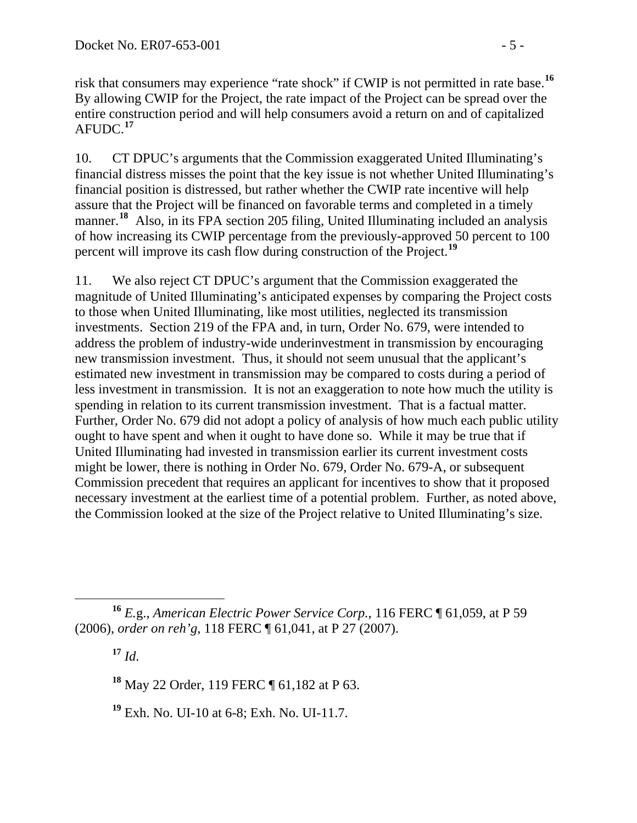risk that consumers may experience "rate shock" if CWIP is not permitted in rate base.**<sup>16</sup>** By allowing CWIP for the Project, the rate impact of the Project can be spread over the entire construction period and will help consumers avoid a return on and of capitalized AFUDC.**<sup>17</sup>**

10. CT DPUC's arguments that the Commission exaggerated United Illuminating's financial distress misses the point that the key issue is not whether United Illuminating's financial position is distressed, but rather whether the CWIP rate incentive will help assure that the Project will be financed on favorable terms and completed in a timely manner.<sup>[18](#page-4-0)</sup> Also, in its FPA section 205 filing, United Illuminating included an analysis of how increasing its CWIP percentage from the previously-approved 50 percent to 10 0 percent will improve its cash flow during construction of the Project.<sup>[19](#page-4-1)</sup>

11. We also reject CT DPUC's argument that the Commission exaggerated the magnitude of United Illuminating's anticipated expenses by comparing the Project costs to those when United Illuminating, like most utilities, neglected its transmission investments. Section 219 of the FPA and, in turn, Order No. 679, were intended to address the problem of industry-wide underinvestment in transmission by encouraging new transmission investment. Thus, it should not seem unusual that the applicant's estimated new investment in transmission may be compared to costs during a period of less investment in transmission. It is not an exaggeration to note how much the utility is spending in relation to its current transmission investment. That is a factual matter. Further, Order No. 679 did not adopt a policy of analysis of how much each public utility ought to have spent and when it ought to have done so. While it may be true that if United Illuminating had invested in transmission earlier its current investment costs might be lower, there is nothing in Order No. 679, Order No. 679-A, or subsequent Commission precedent that requires an applicant for incentives to show that it proposed necessary investment at the earliest time of a potential problem. Further, as noted above, the Commission looked at the size of the Project relative to United Illuminating's size.

 $17 \, Id.$ 

<span id="page-4-0"></span>**<sup>18</sup>** May 22 Order, 119 FERC ¶ 61,182 at P 63.

<span id="page-4-1"></span>**<sup>19</sup>** Exh. No. UI-10 at 6-8; Exh. No. UI-11.7.

 $\overline{a}$ **<sup>16</sup>** *E.*g., *American Electric Power Service Corp.*, 116 FERC ¶ 61,059, at P 59 (2006), *order on reh'g*, 118 FERC ¶ 61,041, at P 27 (2007).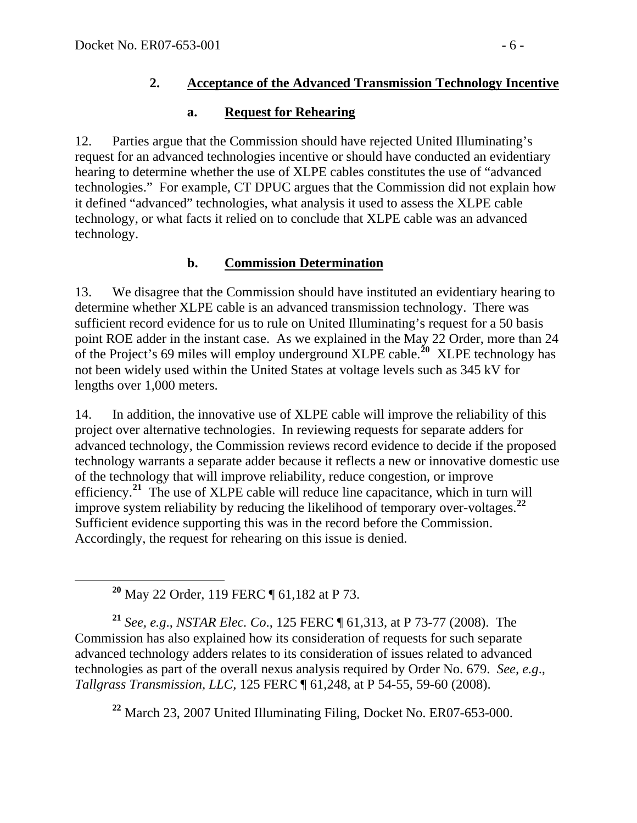## **2. Acceptance of the Advanced Transmission Technology Incentive**

## **a. Request for Rehearing**

12. Parties argue that the Commission should have rejected United Illuminating's request for an advanced technologies incentive or should have conducted an evidentiary hearing to determine whether the use of XLPE cables constitutes the use of "advanced technologies." For example, CT DPUC argues that the Commission did not explain how it defined "advanced" technologies, what analysis it used to assess the XLPE cable technology, or what facts it relied on to conclude that XLPE cable was an advanced technology.

# **b. Commission Determination**

13. We disagree that the Commission should have instituted an evidentiary hearing to determine whether XLPE cable is an advanced transmission technology. There was sufficient record evidence for us to rule on United Illuminating's request for a 50 basis point ROE adder in the instant case. As we explained in the May 22 Order, more than 24 of the Project's 69 miles will employ underground XLPE cable.<sup>[20](#page-5-0)</sup> XLPE technology has not been widely used within the United States at voltage levels such as 345 kV for lengths over 1,000 meters.

14. In addition, the innovative use of XLPE cable will improve the reliability of this project over alternative technologies. In reviewing requests for separate adders for advanced technology, the Commission reviews record evidence to decide if the proposed technology warrants a separate adder because it reflects a new or innovative domestic use of the technology that will improve reliability, reduce congestion, or improve efficiency.**[21](#page-5-1)** The use of XLPE cable will reduce line capacitance, which in turn will improve system reliability by reducing the likelihood of temporary over-voltages.**[22](#page-5-2)** Sufficient evidence supporting this was in the record before the Commission. Accordingly, the request for rehearing on this issue is denied.

**<sup>20</sup>** May 22 Order, 119 FERC ¶ 61,182 at P 73.

<span id="page-5-1"></span><span id="page-5-0"></span>**<sup>21</sup>** *See, e.g*., *NSTAR Elec. Co*., 125 FERC ¶ 61,313, at P 73-77 (2008). The Commission has also explained how its consideration of requests for such separate advanced technology adders relates to its consideration of issues related to advanced technologies as part of the overall nexus analysis required by Order No. 679. *See, e.g*., *Tallgrass Transmission, LLC*, 125 FERC ¶ 61,248, at P 54-55, 59-60 (2008).

<span id="page-5-2"></span>**<sup>22</sup>** March 23, 2007 United Illuminating Filing, Docket No. ER07-653-000.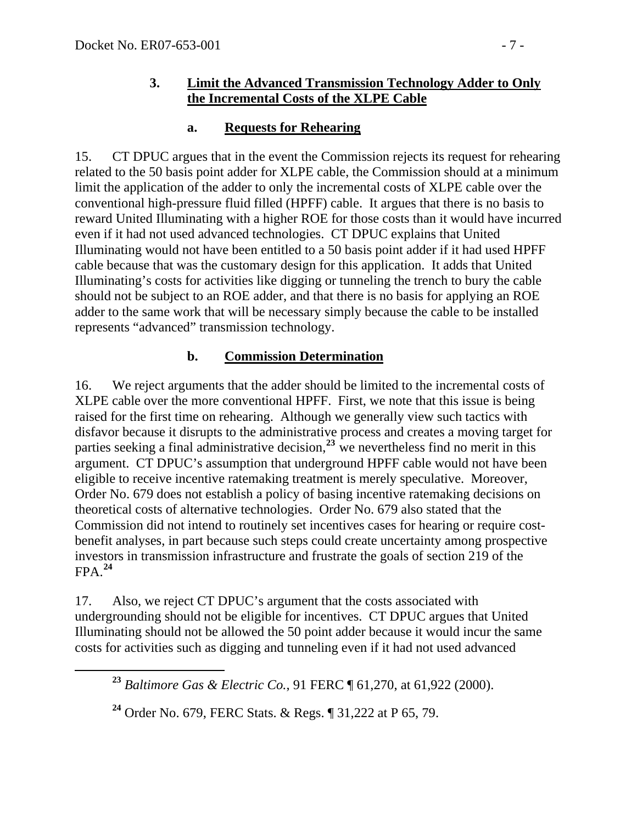#### **3. Limit the Advanced Transmission Technology Adder to Only the Incremental Costs of the XLPE Cable**

### **a. Requests for Rehearing**

15. CT DPUC argues that in the event the Commission rejects its request for rehearing related to the 50 basis point adder for XLPE cable, the Commission should at a minimum limit the application of the adder to only the incremental costs of XLPE cable over the conventional high-pressure fluid filled (HPFF) cable. It argues that there is no basis to reward United Illuminating with a higher ROE for those costs than it would have incurred even if it had not used advanced technologies. CT DPUC explains that United Illuminating would not have been entitled to a 50 basis point adder if it had used HPFF cable because that was the customary design for this application. It adds that United Illuminating's costs for activities like digging or tunneling the trench to bury the cable should not be subject to an ROE adder, and that there is no basis for applying an ROE adder to the same work that will be necessary simply because the cable to be installed represents "advanced" transmission technology.

### **b. Commission Determination**

16. We reject arguments that the adder should be limited to the incremental costs of XLPE cable over the more conventional HPFF. First, we note that this issue is being raised for the first time on rehearing. Although we generally view such tactics with disfavor because it disrupts to the administrative process and creates a moving target for parties seeking a final administrative decision,**[23](#page-6-0)** we nevertheless find no merit in this argument. CT DPUC's assumption that underground HPFF cable would not have been eligible to receive incentive ratemaking treatment is merely speculative. Moreover, Order No. 679 does not establish a policy of basing incentive ratemaking decisions on theoretical costs of alternative technologies. Order No. 679 also stated that the Commission did not intend to routinely set incentives cases for hearing or require costbenefit analyses, in part because such steps could create uncertainty among prospective investors in transmission infrastructure and frustrate the goals of section 219 of the  $FPA.<sup>24</sup>$  $FPA.<sup>24</sup>$  $FPA.<sup>24</sup>$ 

<span id="page-6-0"></span>17. Also, we reject CT DPUC's argument that the costs associated with undergrounding should not be eligible for incentives. CT DPUC argues that United Illuminating should not be allowed the 50 point adder because it would incur the same costs for activities such as digging and tunneling even if it had not used advanced

**<sup>23</sup>** *Baltimore Gas & Electric Co.*, 91 FERC ¶ 61,270, at 61,922 (2000).

<span id="page-6-1"></span>**<sup>24</sup>** Order No. 679, FERC Stats. & Regs. ¶ 31,222 at P 65, 79.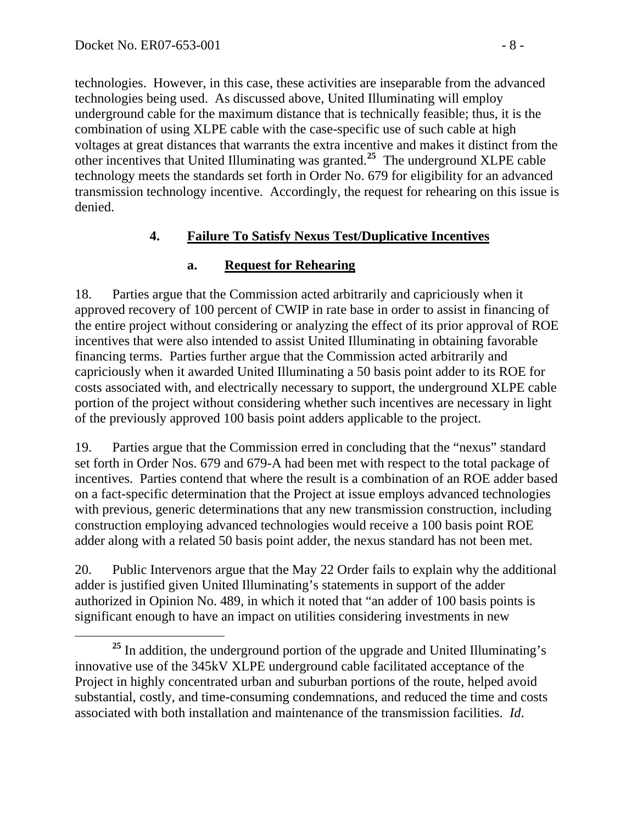technologies. However, in this case, these activities are inseparable from the advanced technologies being used. As discussed above, United Illuminating will employ underground cable for the maximum distance that is technically feasible; thus, it is the combination of using XLPE cable with the case-specific use of such cable at high voltages at great distances that warrants the extra incentive and makes it distinct from the other incentives that United Illuminating was granted.**<sup>25</sup>** The underground XLPE cable technology meets the standards set forth in Order No. 679 for eligibility for an advanced transmission technology incentive. Accordingly, the request for rehearing on this issue is denied.

## **4. Failure To Satisfy Nexus Test/Duplicative Incentives**

## **a. Request for Rehearing**

18. Parties argue that the Commission acted arbitrarily and capriciously when it approved recovery of 100 percent of CWIP in rate base in order to assist in financing of the entire project without considering or analyzing the effect of its prior approval of ROE incentives that were also intended to assist United Illuminating in obtaining favorable financing terms. Parties further argue that the Commission acted arbitrarily and capriciously when it awarded United Illuminating a 50 basis point adder to its ROE for costs associated with, and electrically necessary to support, the underground XLPE cable portion of the project without considering whether such incentives are necessary in light of the previously approved 100 basis point adders applicable to the project.

19. Parties argue that the Commission erred in concluding that the "nexus" standard set forth in Order Nos. 679 and 679-A had been met with respect to the total package of incentives. Parties contend that where the result is a combination of an ROE adder based on a fact-specific determination that the Project at issue employs advanced technologies with previous, generic determinations that any new transmission construction, including construction employing advanced technologies would receive a 100 basis point ROE adder along with a related 50 basis point adder, the nexus standard has not been met.

20. Public Intervenors argue that the May 22 Order fails to explain why the additional adder is justified given United Illuminating's statements in support of the adder authorized in Opinion No. 489, in which it noted that "an adder of 100 basis points is significant enough to have an impact on utilities considering investments in new

<sup>&</sup>lt;sup>25</sup> In addition, the underground portion of the upgrade and United Illuminating's innovative use of the 345kV XLPE underground cable facilitated acceptance of the Project in highly concentrated urban and suburban portions of the route, helped avoid substantial, costly, and time-consuming condemnations, and reduced the time and costs associated with both installation and maintenance of the transmission facilities. *Id*.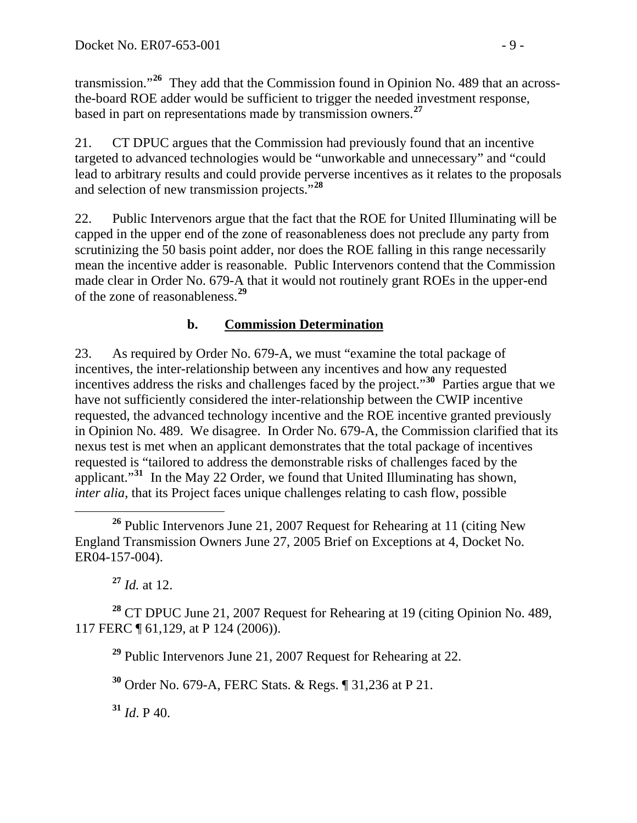transmission."**<sup>26</sup>** They add that the Commission found in Opinion No. 489 that an acrossthe-board ROE adder would be sufficient to trigger the needed investment response, based in part on representations made by transmission owners.**<sup>27</sup>**

21. CT DPUC argues that the Commission had previously found that an incentive targeted to advanced technologies would be "unworkable and unnecessary" and "could lead to arbitrary results and could provide perverse incentives as it relates to the proposals and selection of new transmission projects."**[28](#page-8-0)**

22. Public Intervenors argue that the fact that the ROE for United Illuminating will be capped in the upper end of the zone of reasonableness does not preclude any party from scrutinizing the 50 basis point adder, nor does the ROE falling in this range necessarily mean the incentive adder is reasonable. Public Intervenors contend that the Commission made clear in Order No. 679-A that it would not routinely grant ROEs in the upper-end of the zone of reasonableness.**[29](#page-8-1)**

## **b. Commission Determination**

23. As required by Order No. 679-A, we must "examine the total package of incentives, the inter-relationship between any incentives and how any requested incentives address the risks and challenges faced by the project."**[30](#page-8-2)** Parties argue that we have not sufficiently considered the inter-relationship between the CWIP incentive requested, the advanced technology incentive and the ROE incentive granted previously in Opinion No. 489. We disagree. In Order No. 679-A, the Commission clarified that its nexus test is met when an applicant demonstrates that the total package of incentives requested is "tailored to address the demonstrable risks of challenges faced by the applicant."**[31](#page-8-3)** In the May 22 Order, we found that United Illuminating has shown, *inter alia*, that its Project faces unique challenges relating to cash flow, possible

**<sup>27</sup>** *Id.* at 12.

<span id="page-8-2"></span><span id="page-8-1"></span><span id="page-8-0"></span>**<sup>28</sup>** CT DPUC June 21, 2007 Request for Rehearing at 19 (citing Opinion No. 489, 117 FERC ¶ 61,129, at P 124 (2006)).

**<sup>29</sup>** Public Intervenors June 21, 2007 Request for Rehearing at 22.

**<sup>30</sup>** Order No. 679-A, FERC Stats. & Regs. ¶ 31,236 at P 21.

<span id="page-8-3"></span> $31$  *Id.* P 40.

**<sup>26</sup>** Public Intervenors June 21, 2007 Request for Rehearing at 11 (citing New England Transmission Owners June 27, 2005 Brief on Exceptions at 4, Docket No. ER04-157-004).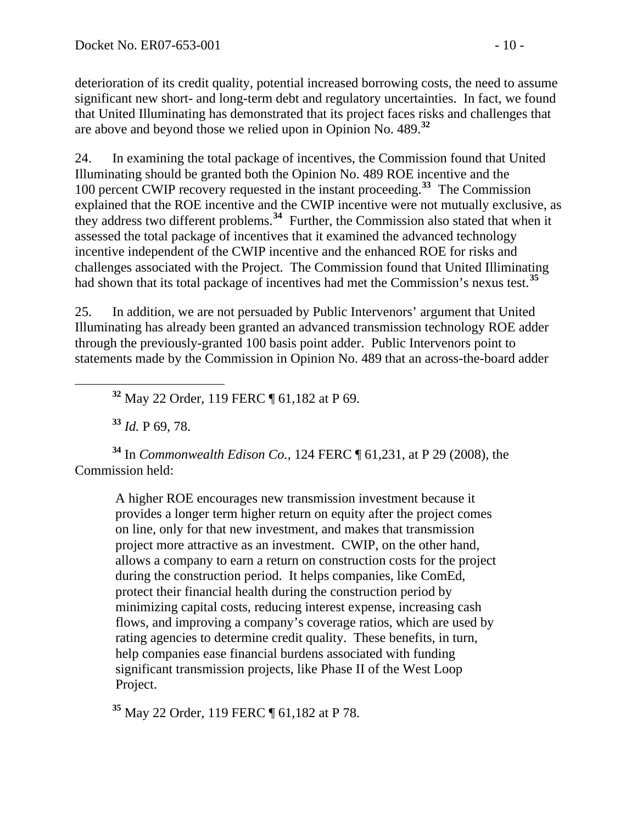deterioration of its credit quality, potential increased borrowing costs, the need to assume significant new short- and long-term debt and regulatory uncertainties. In fact, we found that United Illuminating has demonstrated that its project faces risks and challenges that are above and beyond those we relied upon in Opinion No. 489.**<sup>32</sup>**

24. In examining the total package of incentives, the Commission found that United Illuminating should be granted both the Opinion No. 489 ROE incentive and the 100 percent CWIP recovery requested in the instant proceeding.**[33](#page-9-0)** The Commission explained that the ROE incentive and the CWIP incentive were not mutually exclusive, as they address two different problems.**[34](#page-9-1)** Further, the Commission also stated that when it assessed the total package of incentives that it examined the advanced technology incentive independent of the CWIP incentive and the enhanced ROE for risks and challenges associated with the Project. The Commission found that United Illiminating had shown that its total package of incentives had met the Commission's nexus test.**[35](#page-9-2)**

25. In addition, we are not persuaded by Public Intervenors' argument that United Illuminating has already been granted an advanced transmission technology ROE adder through the previously-granted 100 basis point adder. Public Intervenors point to statements made by the Commission in Opinion No. 489 that an across-the-board adder

**<sup>32</sup>** May 22 Order, 119 FERC ¶ 61,182 at P 69.

**<sup>33</sup>** *Id.* P 69, 78.

<span id="page-9-1"></span><span id="page-9-0"></span>**<sup>34</sup>** In *Commonwealth Edison Co.*, 124 FERC ¶ 61,231, at P 29 (2008), the Commission held:

A higher ROE encourages new transmission investment because it provides a longer term higher return on equity after the project comes on line, only for that new investment, and makes that transmission project more attractive as an investment. CWIP, on the other hand, allows a company to earn a return on construction costs for the project during the construction period. It helps companies, like ComEd, protect their financial health during the construction period by minimizing capital costs, reducing interest expense, increasing cash flows, and improving a company's coverage ratios, which are used by rating agencies to determine credit quality. These benefits, in turn, help companies ease financial burdens associated with funding significant transmission projects, like Phase II of the West Loop Project.

<span id="page-9-2"></span>**<sup>35</sup>** May 22 Order, 119 FERC ¶ 61,182 at P 78.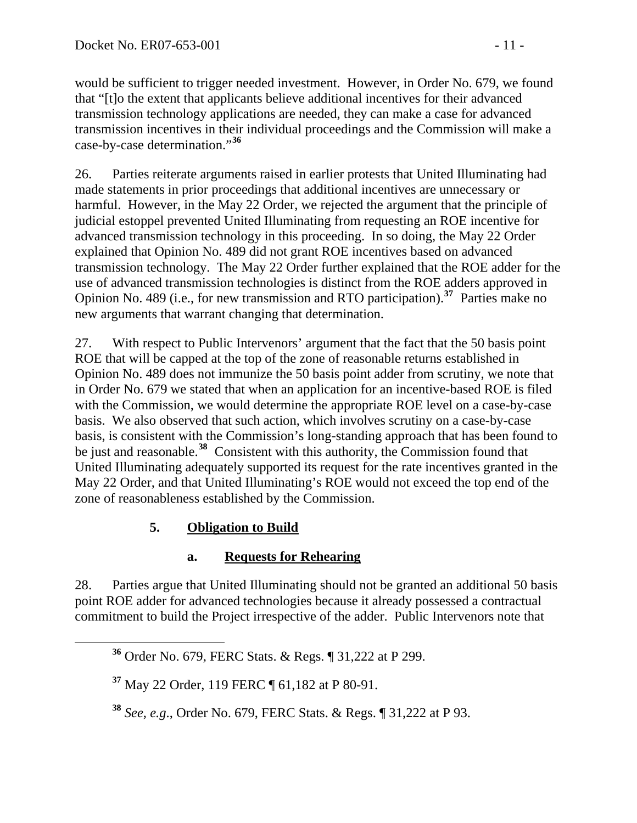would be sufficient to trigger needed investment. However, in Order No. 679, we found that "[t]o the extent that applicants believe additional incentives for their advanced transmission technology applications are needed, they can make a case for advanced transmission incentives in their individual proceedings and the Commission will make a case-by-case determination."**<sup>36</sup>**

26. Parties reiterate arguments raised in earlier protests that United Illuminating had made statements in prior proceedings that additional incentives are unnecessary or harmful. However, in the May 22 Order, we rejected the argument that the principle of judicial estoppel prevented United Illuminating from requesting an ROE incentive for advanced transmission technology in this proceeding. In so doing, the May 22 Order explained that Opinion No. 489 did not grant ROE incentives based on advanced transmission technology. The May 22 Order further explained that the ROE adder for the use of advanced transmission technologies is distinct from the ROE adders approved in Opinion No. 489 (i.e., for new transmission and RTO participation).**[37](#page-10-0)** Parties make no new arguments that warrant changing that determination.

27. With respect to Public Intervenors' argument that the fact that the 50 basis point ROE that will be capped at the top of the zone of reasonable returns established in Opinion No. 489 does not immunize the 50 basis point adder from scrutiny, we note that in Order No. 679 we stated that when an application for an incentive-based ROE is filed with the Commission, we would determine the appropriate ROE level on a case-by-case basis. We also observed that such action, which involves scrutiny on a case-by-case basis, is consistent with the Commission's long-standing approach that has been found to be just and reasonable.**[38](#page-10-1)** Consistent with this authority, the Commission found that United Illuminating adequately supported its request for the rate incentives granted in the May 22 Order, and that United Illuminating's ROE would not exceed the top end of the zone of reasonableness established by the Commission.

# **5. Obligation to Build**

## **a. Requests for Rehearing**

28. Parties argue that United Illuminating should not be granted an additional 50 basis point ROE adder for advanced technologies because it already possessed a contractual commitment to build the Project irrespective of the adder. Public Intervenors note that

**<sup>36</sup>** Order No. 679, FERC Stats. & Regs. ¶ 31,222 at P 299.

<span id="page-10-0"></span>**<sup>37</sup>** May 22 Order, 119 FERC ¶ 61,182 at P 80-91.

<span id="page-10-1"></span>**<sup>38</sup>** *See, e.g*., Order No. 679, FERC Stats. & Regs. ¶ 31,222 at P 93.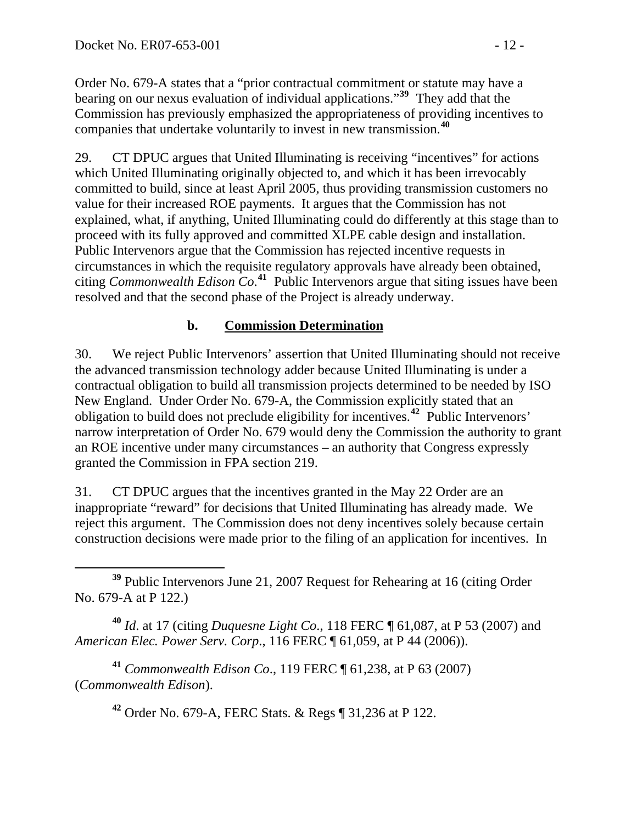Order No. 679-A states that a "prior contractual commitment or statute may have a bearing on our nexus evaluation of individual applications."**<sup>39</sup>** They add that the Commission has previously emphasized the appropriateness of providing incentives to companies that undertake voluntarily to invest in new transmission.**<sup>40</sup>**

29. CT DPUC argues that United Illuminating is receiving "incentives" for actions which United Illuminating originally objected to, and which it has been irrevocably committed to build, since at least April 2005, thus providing transmission customers no value for their increased ROE payments. It argues that the Commission has not explained, what, if anything, United Illuminating could do differently at this stage than to proceed with its fully approved and committed XLPE cable design and installation. Public Intervenors argue that the Commission has rejected incentive requests in circumstances in which the requisite regulatory approvals have already been obtained, citing *Commonwealth Edison Co*. **[41](#page-11-0)** Public Intervenors argue that siting issues have been resolved and that the second phase of the Project is already underway.

### **b. Commission Determination**

30. We reject Public Intervenors' assertion that United Illuminating should not receive the advanced transmission technology adder because United Illuminating is under a contractual obligation to build all transmission projects determined to be needed by ISO New England. Under Order No. 679-A, the Commission explicitly stated that an obligation to build does not preclude eligibility for incentives.**[42](#page-11-1)** Public Intervenors' narrow interpretation of Order No. 679 would deny the Commission the authority to grant an ROE incentive under many circumstances – an authority that Congress expressly granted the Commission in FPA section 219.

31. CT DPUC argues that the incentives granted in the May 22 Order are an inappropriate "reward" for decisions that United Illuminating has already made. We reject this argument. The Commission does not deny incentives solely because certain construction decisions were made prior to the filing of an application for incentives. In

**<sup>40</sup>** *Id*. at 17 (citing *Duquesne Light Co*., 118 FERC ¶ 61,087, at P 53 (2007) and *American Elec. Power Serv. Corp*., 116 FERC ¶ 61,059, at P 44 (2006)).

<span id="page-11-1"></span><span id="page-11-0"></span>**<sup>41</sup>** *Commonwealth Edison Co*., 119 FERC ¶ 61,238, at P 63 (2007) (*Commonwealth Edison*).

**<sup>42</sup>** Order No. 679-A, FERC Stats. & Regs ¶ 31,236 at P 122.

**<sup>39</sup>** Public Intervenors June 21, 2007 Request for Rehearing at 16 (citing Order No. 679-A at P 122.)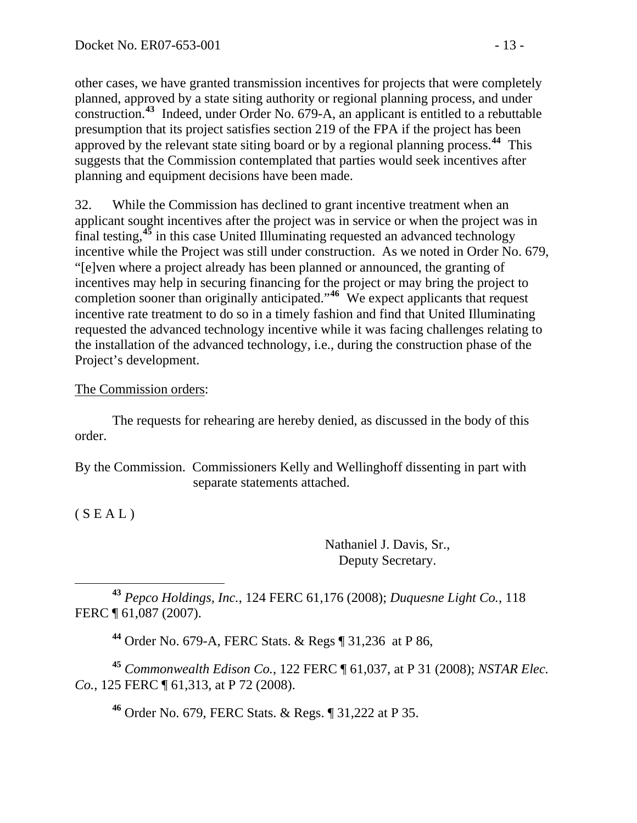other cases, we have granted transmission incentives for projects that were completely planned, approved by a state siting authority or regional planning process, and under construction.**<sup>43</sup>** Indeed, under Order No. 679-A, an applicant is entitled to a rebuttable presumption that its project satisfies section 219 of the FPA if the project has been approved by the relevant state siting board or by a regional planning process.**<sup>44</sup>** This suggests that the Commission contemplated that parties would seek incentives after planning and equipment decisions have been made.

32. While the Commission has declined to grant incentive treatment when an applicant sought incentives after the project was in service or when the project was in final testing,**[45](#page-12-0)** in this case United Illuminating requested an advanced technology incentive while the Project was still under construction. As we noted in Order No. 679, "[e]ven where a project already has been planned or announced, the granting of incentives may help in securing financing for the project or may bring the project to completion sooner than originally anticipated."**[46](#page-12-1)** We expect applicants that request incentive rate treatment to do so in a timely fashion and find that United Illuminating requested the advanced technology incentive while it was facing challenges relating to the installation of the advanced technology, i.e., during the construction phase of the Project's development.

### The Commission orders:

 The requests for rehearing are hereby denied, as discussed in the body of this order.

By the Commission. Commissioners Kelly and Wellinghoff dissenting in part with separate statements attached.

 $(S E A L)$ 

Nathaniel J. Davis, Sr., Deputy Secretary.

 **<sup>43</sup>** *Pepco Holdings, Inc.*, 124 FERC 61,176 (2008); *Duquesne Light Co.*, 118 FERC ¶ 61,087 (2007).

**<sup>44</sup>** Order No. 679-A, FERC Stats. & Regs ¶ 31,236 at P 86,

<span id="page-12-1"></span><span id="page-12-0"></span>**<sup>45</sup>** *Commonwealth Edison Co.*, 122 FERC ¶ 61,037, at P 31 (2008); *NSTAR Elec. Co.*, 125 FERC ¶ 61,313, at P 72 (2008).

**<sup>46</sup>** Order No. 679, FERC Stats. & Regs. ¶ 31,222 at P 35.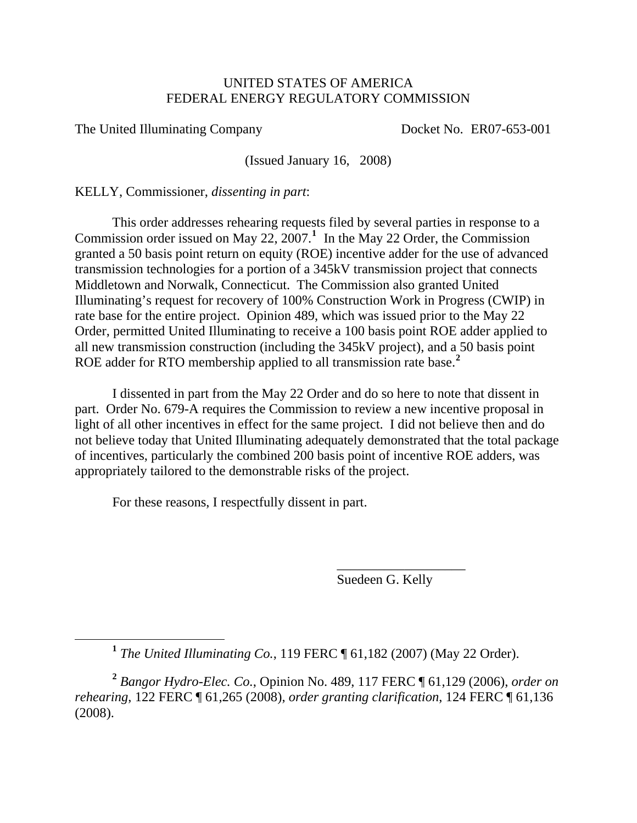#### UNITED STATES OF AMERICA FEDERAL ENERGY REGULATORY COMMISSION

The United Illuminating Company Docket No. ER07-653-001

(Issued January 16, 2008)

KELLY, Commissioner, *dissenting in part*:

 This order addresses rehearing requests filed by several parties in response to a Commission order issued on May 22,  $2007$ .<sup>[1](#page-13-0)</sup> In the May 22 Order, the Commission granted a 50 basis point return on equity (ROE) incentive adder for the use of advanced transmission technologies for a portion of a 345kV transmission project that connects Middletown and Norwalk, Connecticut. The Commission also granted United Illuminating's request for recovery of 100% Construction Work in Progress (CWIP) in rate base for the entire project. Opinion 489, which was issued prior to the May 22 Order, permitted United Illuminating to receive a 100 basis point ROE adder applied to all new transmission construction (including the 345kV project), and a 50 basis point ROE adder for RTO membership applied to all transmission rate base.**[2](#page-13-1)**

 I dissented in part from the May 22 Order and do so here to note that dissent in part. Order No. 679-A requires the Commission to review a new incentive proposal in light of all other incentives in effect for the same project. I did not believe then and do not believe today that United Illuminating adequately demonstrated that the total package of incentives, particularly the combined 200 basis point of incentive ROE adders, was appropriately tailored to the demonstrable risks of the project.

For these reasons, I respectfully dissent in part.

 $\overline{\phantom{a}}$  , which is a set of the set of the set of the set of the set of the set of the set of the set of the set of the set of the set of the set of the set of the set of the set of the set of the set of the set of th

Suedeen G. Kelly

**<sup>1</sup>** *The United Illuminating Co.*, 119 FERC ¶ 61,182 (2007) (May 22 Order).

<span id="page-13-1"></span><span id="page-13-0"></span>**<sup>2</sup>** *Bangor Hydro-Elec. Co.*, Opinion No. 489, 117 FERC ¶ 61,129 (2006), *order on rehearing*, 122 FERC ¶ 61,265 (2008), *order granting clarification*, 124 FERC ¶ 61,136 (2008).